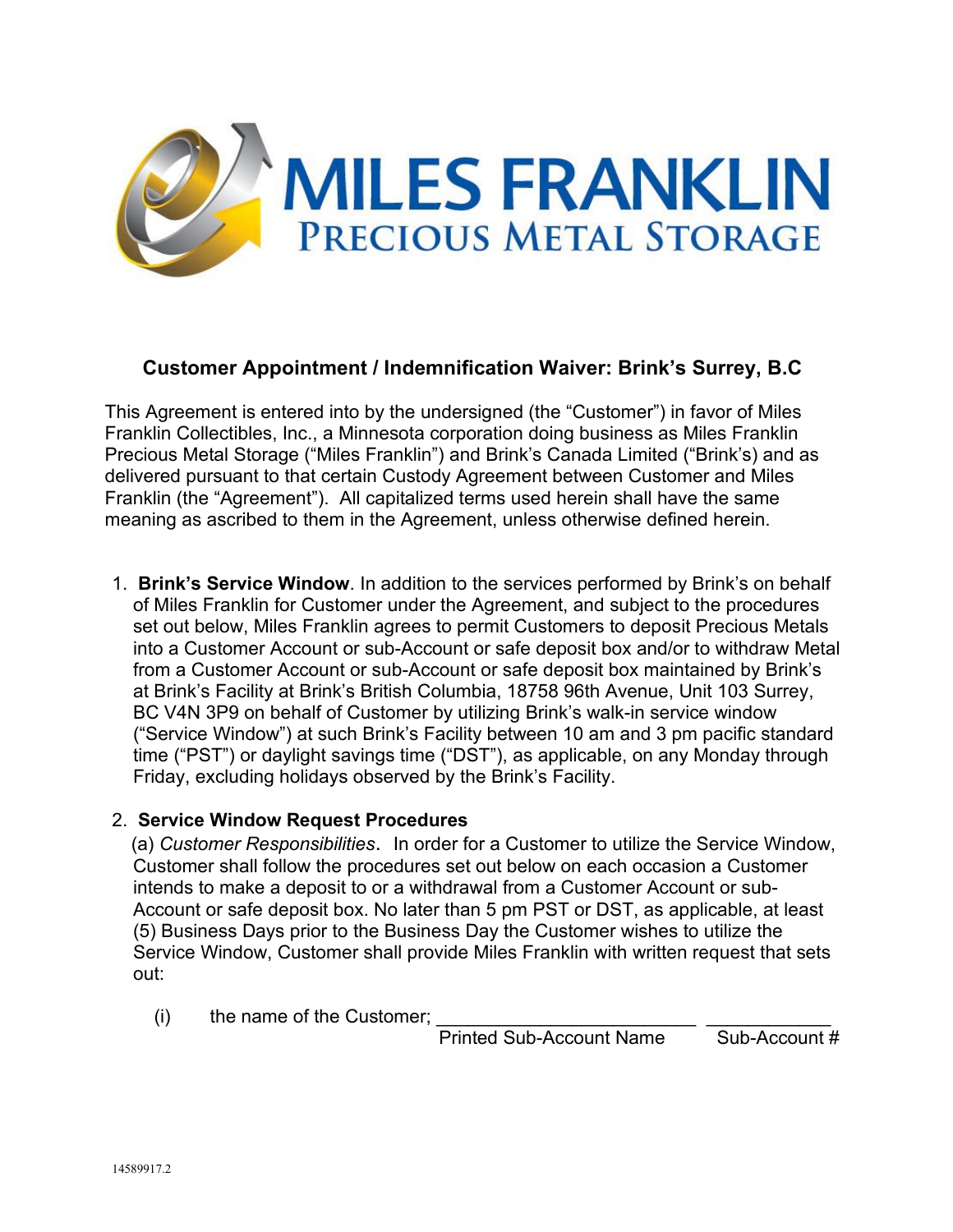

## **Customer Appointment / Indemnification Waiver: Brink's Surrey, B.C**

This Agreement is entered into by the undersigned (the "Customer") in favor of Miles Franklin Collectibles, Inc., a Minnesota corporation doing business as Miles Franklin Precious Metal Storage ("Miles Franklin") and Brink's Canada Limited ("Brink's) and as delivered pursuant to that certain Custody Agreement between Customer and Miles Franklin (the "Agreement"). All capitalized terms used herein shall have the same meaning as ascribed to them in the Agreement, unless otherwise defined herein.

1. **Brink's Service Window**. In addition to the services performed by Brink's on behalf of Miles Franklin for Customer under the Agreement, and subject to the procedures set out below, Miles Franklin agrees to permit Customers to deposit Precious Metals into a Customer Account or sub-Account or safe deposit box and/or to withdraw Metal from a Customer Account or sub-Account or safe deposit box maintained by Brink's at Brink's Facility at Brink's British Columbia, 18758 96th Avenue, Unit 103 Surrey, BC V4N 3P9 on behalf of Customer by utilizing Brink's walk-in service window ("Service Window") at such Brink's Facility between 10 am and 3 pm pacific standard time ("PST") or daylight savings time ("DST"), as applicable, on any Monday through Friday, excluding holidays observed by the Brink's Facility.

## 2. **Service Window Request Procedures**

(a) *Customer Responsibilities*. In order for a Customer to utilize the Service Window, Customer shall follow the procedures set out below on each occasion a Customer intends to make a deposit to or a withdrawal from a Customer Account or sub-Account or safe deposit box. No later than 5 pm PST or DST, as applicable, at least (5) Business Days prior to the Business Day the Customer wishes to utilize the Service Window, Customer shall provide Miles Franklin with written request that sets out:

(i) the name of the Customer;  $\frac{1}{2}$   $\frac{1}{2}$   $\frac{1}{2}$   $\frac{1}{2}$   $\frac{1}{2}$   $\frac{1}{2}$   $\frac{1}{2}$   $\frac{1}{2}$   $\frac{1}{2}$   $\frac{1}{2}$   $\frac{1}{2}$   $\frac{1}{2}$   $\frac{1}{2}$   $\frac{1}{2}$   $\frac{1}{2}$   $\frac{1}{2}$   $\frac{1}{2}$   $\frac{1}{2}$   $\frac{1}{2}$ 

Printed Sub-Account Name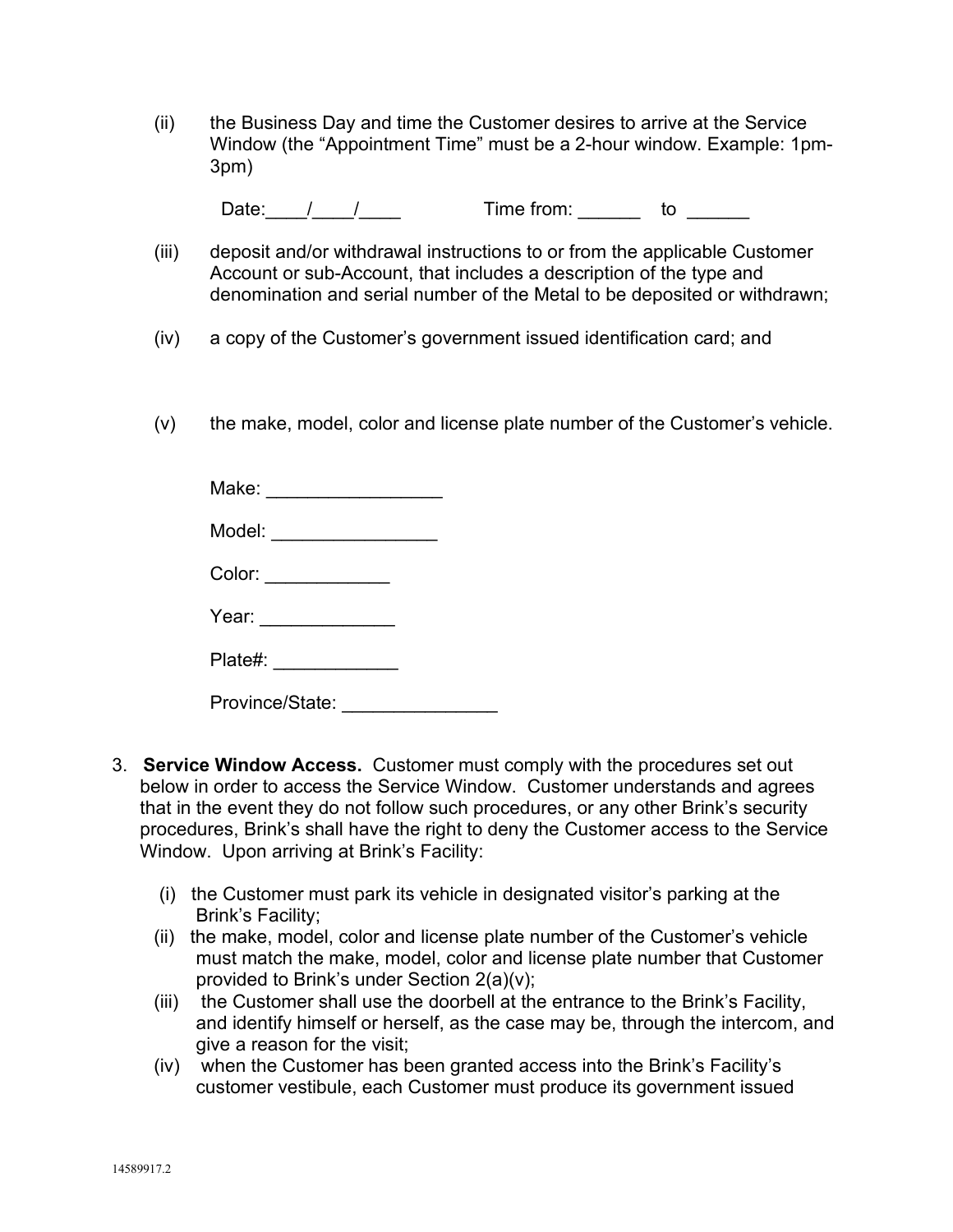(ii) the Business Day and time the Customer desires to arrive at the Service Window (the "Appointment Time" must be a 2-hour window. Example: 1pm-3pm)

Date:  $1$  /  $1$  Time from: to  $\qquad \qquad$ 

- (iii) deposit and/or withdrawal instructions to or from the applicable Customer Account or sub-Account, that includes a description of the type and denomination and serial number of the Metal to be deposited or withdrawn;
- (iv) a copy of the Customer's government issued identification card; and
- (v) the make, model, color and license plate number of the Customer's vehicle.

| Make: _________________ |                                              |
|-------------------------|----------------------------------------------|
| Model: ________________ |                                              |
| Color:                  |                                              |
| Year: $\qquad \qquad$   |                                              |
| Plate#: ____________    |                                              |
| Province/State:         | the company of the company of the company of |

- 3. **Service Window Access.** Customer must comply with the procedures set out below in order to access the Service Window. Customer understands and agrees that in the event they do not follow such procedures, or any other Brink's security procedures, Brink's shall have the right to deny the Customer access to the Service Window. Upon arriving at Brink's Facility:
	- (i) the Customer must park its vehicle in designated visitor's parking at the Brink's Facility;
	- (ii) the make, model, color and license plate number of the Customer's vehicle must match the make, model, color and license plate number that Customer provided to Brink's under Section 2(a)(v);
	- (iii) the Customer shall use the doorbell at the entrance to the Brink's Facility, and identify himself or herself, as the case may be, through the intercom, and give a reason for the visit;
	- (iv) when the Customer has been granted access into the Brink's Facility's customer vestibule, each Customer must produce its government issued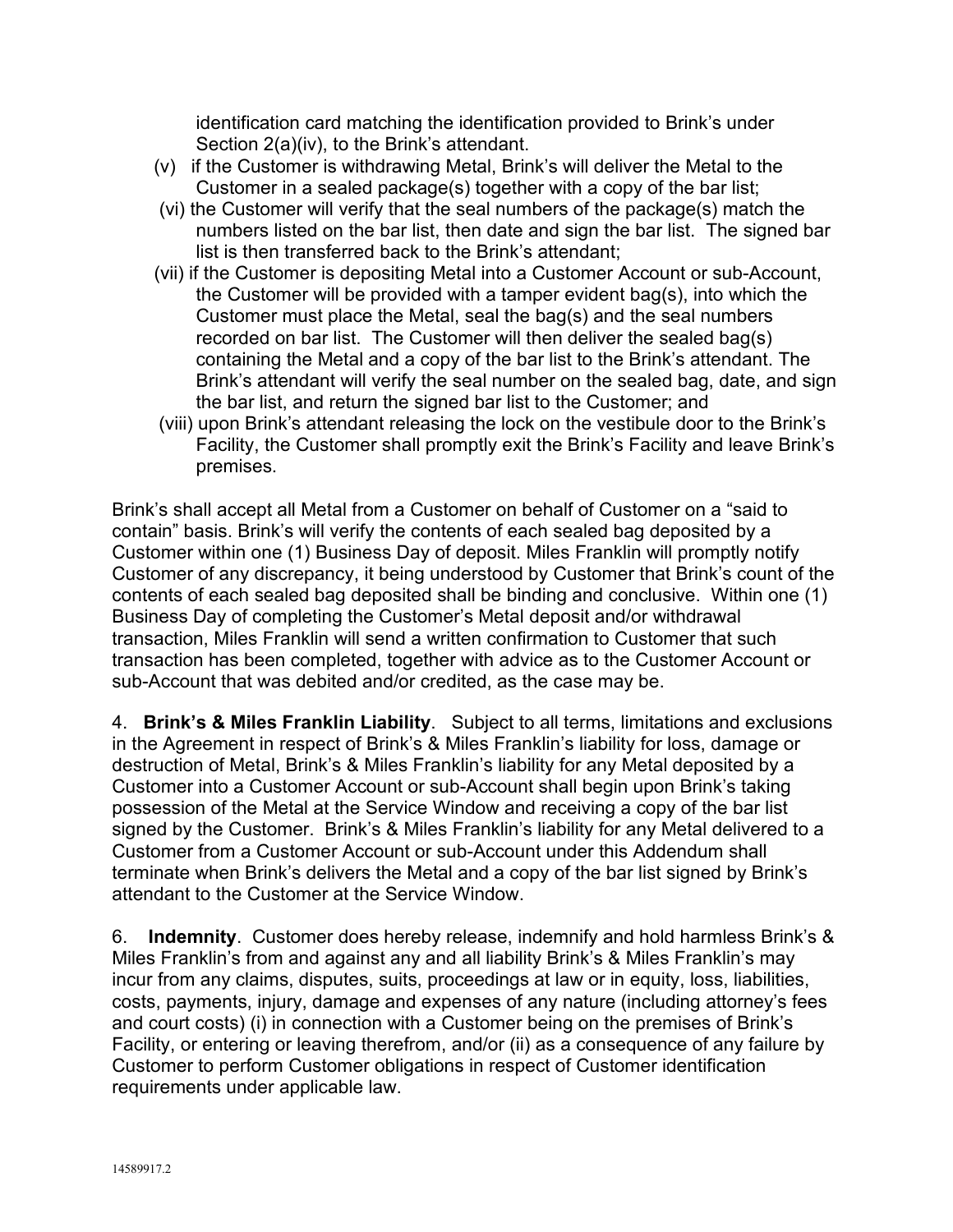identification card matching the identification provided to Brink's under Section 2(a)(iv), to the Brink's attendant.

- (v) if the Customer is withdrawing Metal, Brink's will deliver the Metal to the Customer in a sealed package(s) together with a copy of the bar list;
- (vi) the Customer will verify that the seal numbers of the package(s) match the numbers listed on the bar list, then date and sign the bar list. The signed bar list is then transferred back to the Brink's attendant;
- (vii) if the Customer is depositing Metal into a Customer Account or sub-Account, the Customer will be provided with a tamper evident bag(s), into which the Customer must place the Metal, seal the bag(s) and the seal numbers recorded on bar list. The Customer will then deliver the sealed bag(s) containing the Metal and a copy of the bar list to the Brink's attendant. The Brink's attendant will verify the seal number on the sealed bag, date, and sign the bar list, and return the signed bar list to the Customer; and
- (viii) upon Brink's attendant releasing the lock on the vestibule door to the Brink's Facility, the Customer shall promptly exit the Brink's Facility and leave Brink's premises.

Brink's shall accept all Metal from a Customer on behalf of Customer on a "said to contain" basis. Brink's will verify the contents of each sealed bag deposited by a Customer within one (1) Business Day of deposit. Miles Franklin will promptly notify Customer of any discrepancy, it being understood by Customer that Brink's count of the contents of each sealed bag deposited shall be binding and conclusive. Within one (1) Business Day of completing the Customer's Metal deposit and/or withdrawal transaction, Miles Franklin will send a written confirmation to Customer that such transaction has been completed, together with advice as to the Customer Account or sub-Account that was debited and/or credited, as the case may be.

4. **Brink's & Miles Franklin Liability**. Subject to all terms, limitations and exclusions in the Agreement in respect of Brink's & Miles Franklin's liability for loss, damage or destruction of Metal, Brink's & Miles Franklin's liability for any Metal deposited by a Customer into a Customer Account or sub-Account shall begin upon Brink's taking possession of the Metal at the Service Window and receiving a copy of the bar list signed by the Customer. Brink's & Miles Franklin's liability for any Metal delivered to a Customer from a Customer Account or sub-Account under this Addendum shall terminate when Brink's delivers the Metal and a copy of the bar list signed by Brink's attendant to the Customer at the Service Window.

6. **Indemnity**. Customer does hereby release, indemnify and hold harmless Brink's & Miles Franklin's from and against any and all liability Brink's & Miles Franklin's may incur from any claims, disputes, suits, proceedings at law or in equity, loss, liabilities, costs, payments, injury, damage and expenses of any nature (including attorney's fees and court costs) (i) in connection with a Customer being on the premises of Brink's Facility, or entering or leaving therefrom, and/or (ii) as a consequence of any failure by Customer to perform Customer obligations in respect of Customer identification requirements under applicable law.